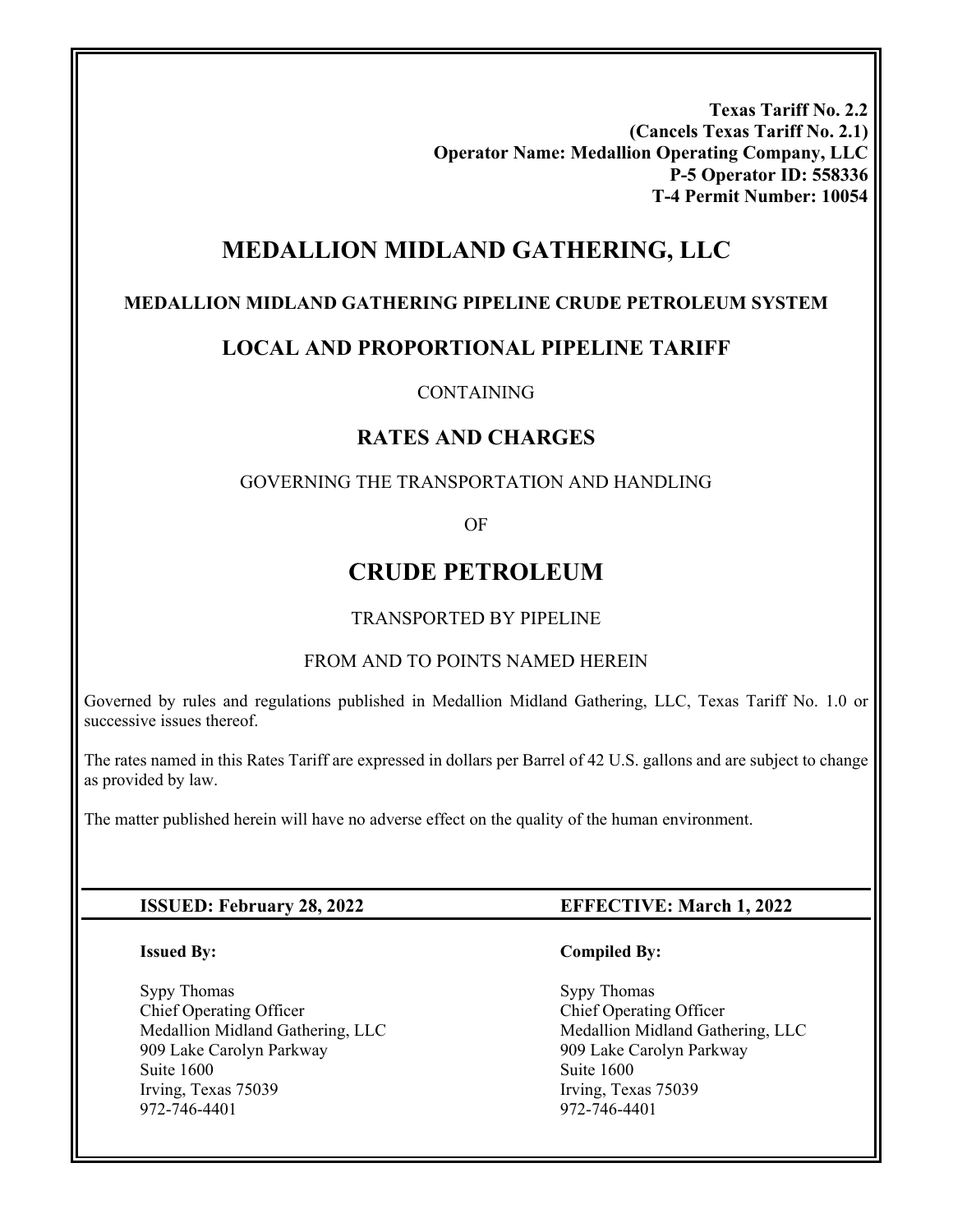**Texas Tariff No. 2.2 (Cancels Texas Tariff No. 2.1) Operator Name: Medallion Operating Company, LLC P-5 Operator ID: 558336 T-4 Permit Number: 10054** 

# **MEDALLION MIDLAND GATHERING, LLC**

# **MEDALLION MIDLAND GATHERING PIPELINE CRUDE PETROLEUM SYSTEM**

# **LOCAL AND PROPORTIONAL PIPELINE TARIFF**

## CONTAINING

# **RATES AND CHARGES**

# GOVERNING THE TRANSPORTATION AND HANDLING

OF

# **CRUDE PETROLEUM**

# TRANSPORTED BY PIPELINE

# FROM AND TO POINTS NAMED HEREIN

Governed by rules and regulations published in Medallion Midland Gathering, LLC, Texas Tariff No. 1.0 or successive issues thereof.

The rates named in this Rates Tariff are expressed in dollars per Barrel of 42 U.S. gallons and are subject to change as provided by law.

The matter published herein will have no adverse effect on the quality of the human environment.

### **ISSUED: February 28, 2022 EFFECTIVE: March 1, 2022**

#### **Issued By:**

Ī

Sypy Thomas Chief Operating Officer Medallion Midland Gathering, LLC 909 Lake Carolyn Parkway Suite 1600 Irving, Texas 75039 972-746-4401

#### **Compiled By:**

 Sypy Thomas Chief Operating Officer Medallion Midland Gathering, LLC 909 Lake Carolyn Parkway Suite 1600 Irving, Texas 75039 972-746-4401